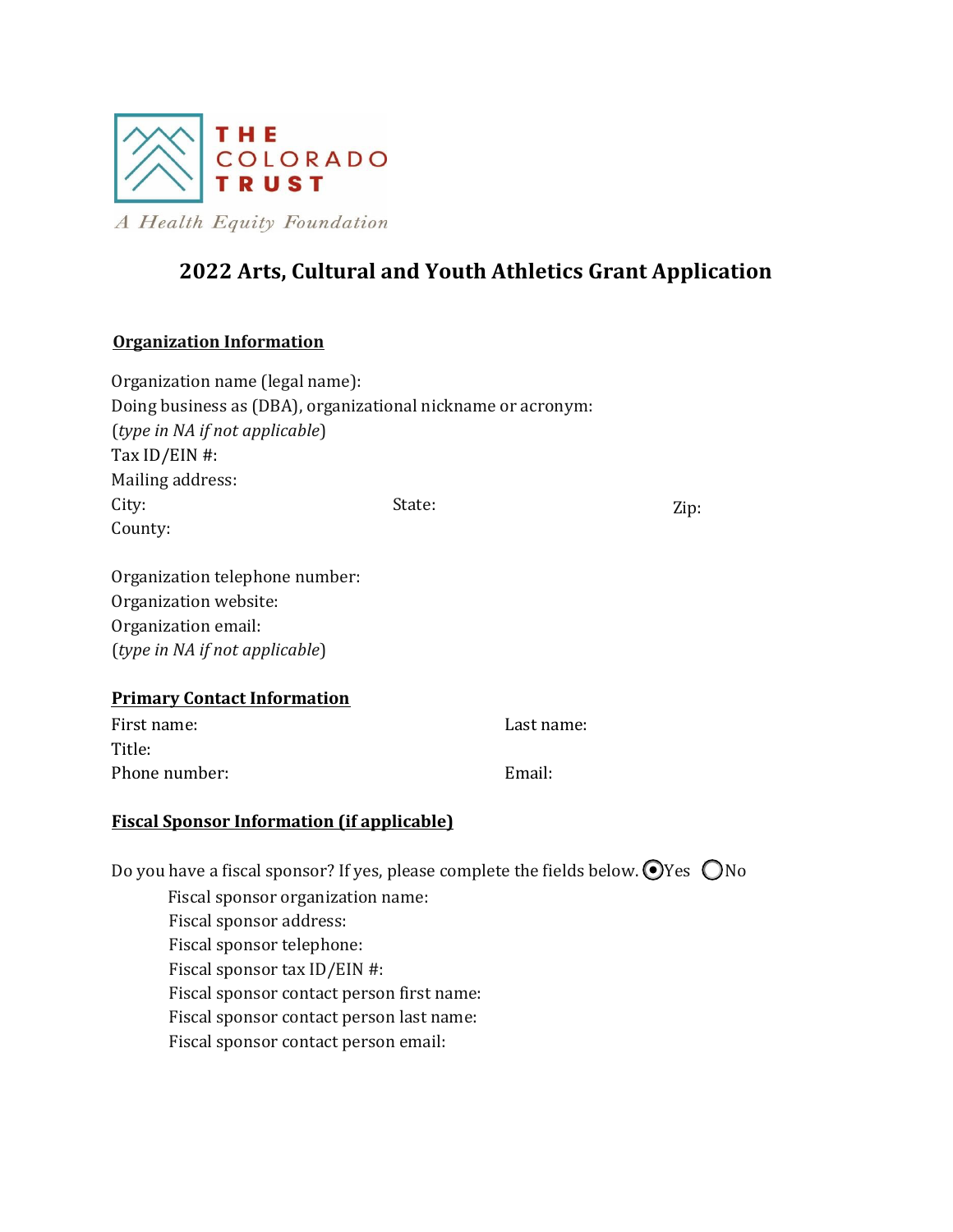

A Health Equity Foundation

# **2022 Arts, Cultural and Youth Athletics Grant Application**

## **Organization Information**

| Organization name (legal name):                                                            |        |            |      |
|--------------------------------------------------------------------------------------------|--------|------------|------|
| Doing business as (DBA), organizational nickname or acronym:                               |        |            |      |
| (type in NA if not applicable)                                                             |        |            |      |
| Tax ID/EIN #:                                                                              |        |            |      |
| Mailing address:                                                                           |        |            |      |
| City:                                                                                      | State: |            | Zip: |
| County:                                                                                    |        |            |      |
| Organization telephone number:                                                             |        |            |      |
| Organization website:                                                                      |        |            |      |
| Organization email:                                                                        |        |            |      |
| (type in NA if not applicable)                                                             |        |            |      |
| <b>Primary Contact Information</b>                                                         |        |            |      |
| First name:                                                                                |        | Last name: |      |
| Title:                                                                                     |        |            |      |
| Phone number:                                                                              |        | Email:     |      |
| <b>Fiscal Sponsor Information (if applicable)</b>                                          |        |            |      |
| Do you have a fiscal sponsor? If yes, please complete the fields below. OYes $\bigcirc$ No |        |            |      |
| Fiscal sponsor organization name:                                                          |        |            |      |
| Fiscal sponsor address:                                                                    |        |            |      |
| Fiscal sponsor telephone:                                                                  |        |            |      |
| Fiscal sponsor tax ID/EIN #:                                                               |        |            |      |

Fiscal sponsor contact person last name:

Fiscal sponsor contact person first name:

Fiscal sponsor contact person email: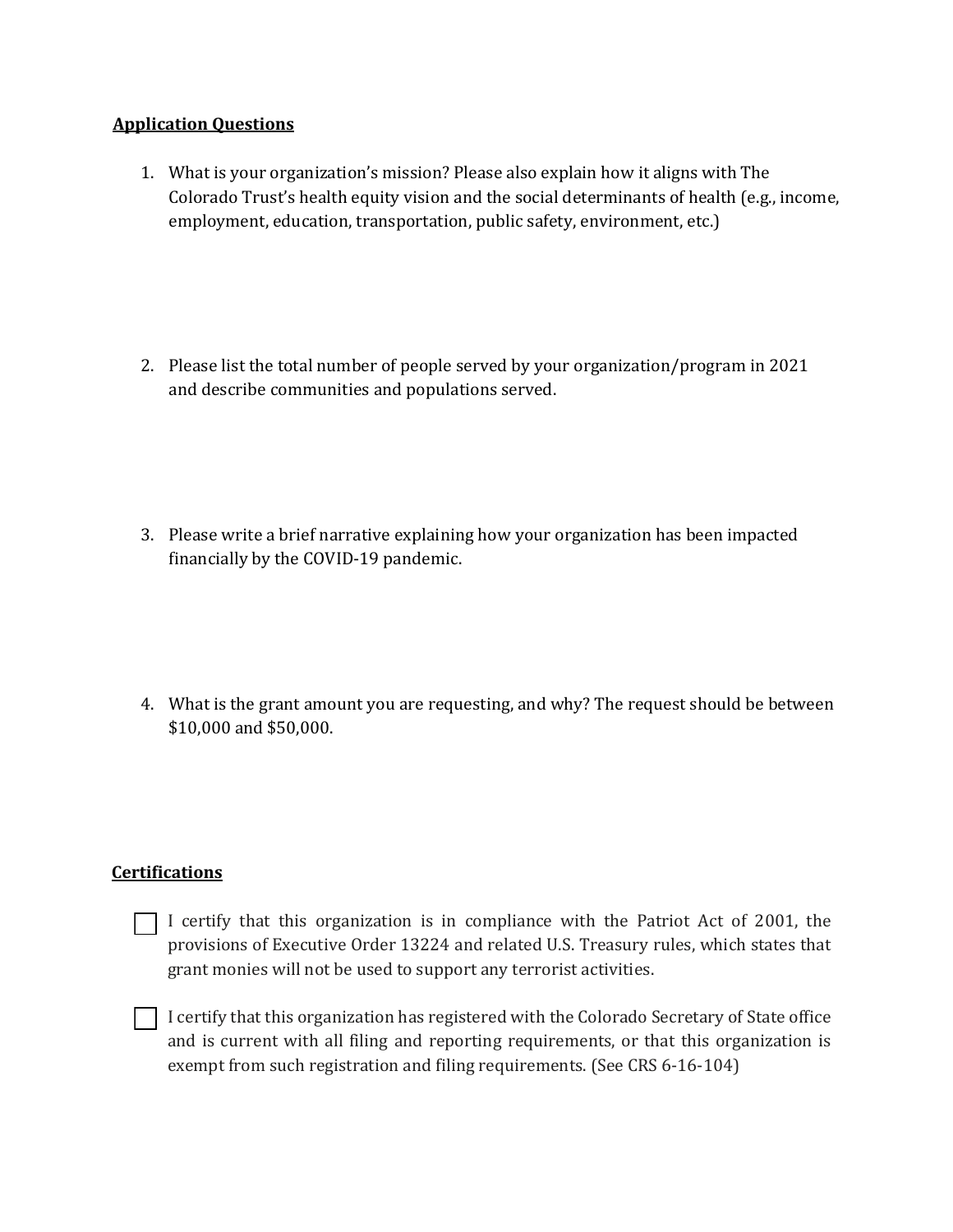## **Application Ouestions**

- 1. What is your organization's mission? Please also explain how it aligns with The Colorado Trust's health equity vision and the social determinants of health (e.g., income, employment, education, transportation, public safety, environment, etc.)
- 2. Please list the total number of people served by your organization/program in 2021 and describe communities and populations served.

- 3. Please write a brief narrative explaining how your organization has been impacted financially by the COVID-19 pandemic.
- 4. What is the grant amount you are requesting, and why? The request should be between \$10,000 and \$50,000.

### **Certifications**

- $\Box$  I certify that this organization is in compliance with the Patriot Act of 2001, the provisions of Executive Order 13224 and related U.S. Treasury rules, which states that grant monies will not be used to support any terrorist activities.
- $\Box$  I certify that this organization has registered with the Colorado Secretary of State office and is current with all filing and reporting requirements, or that this organization is exempt from such registration and filing requirements. (See CRS 6-16-104)